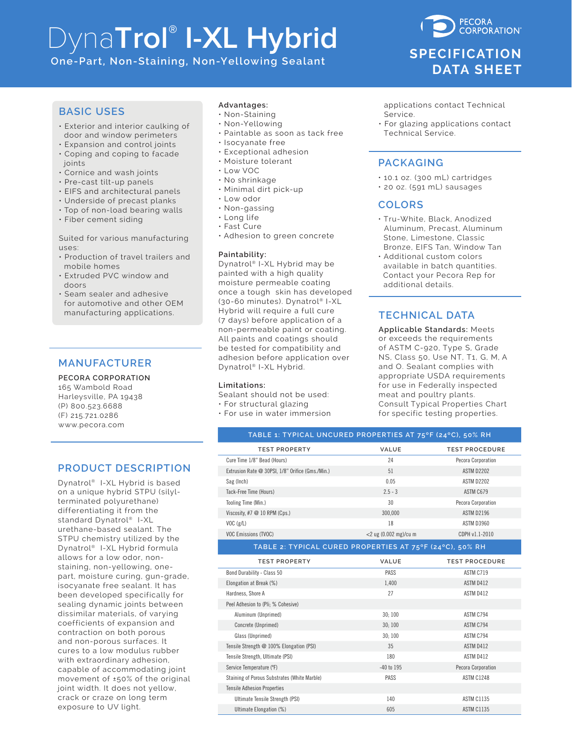# Dyna**Trol® I-XL Hybrid**

**One-Part, Non-Staining, Non-Yellowing Sealant**

# **PECORA CORPORATION® SPECIFICATION DATA SHEET**

#### **BASIC USES**

- Exterior and interior caulking of door and window perimeters
- Expansion and control joints
- Coping and coping to facade joints
- Cornice and wash joints
- Pre-cast tilt-up panels
- EIFS and architectural panels
- Underside of precast planks
- Top of non-load bearing walls
- Fiber cement siding

#### Suited for various manufacturing uses:

- Production of travel trailers and mobile homes
- Extruded PVC window and doors
- Seam sealer and adhesive for automotive and other OEM manufacturing applications.

# **MANUFACTURER**

**PECORA CORPORATION** 165 Wambold Road Harleysville, PA 19438 (P) 800.523.6688 (F) 215.721.0286

www.pecora.com

# **PRODUCT DESCRIPTION**

Dynatrol® I-XL Hybrid is based on a unique hybrid STPU (silylterminated polyurethane) differentiating it from the standard Dynatrol® I-XL urethane-based sealant. The STPU chemistry utilized by the Dynatrol® I-XL Hybrid formula allows for a low odor, nonstaining, non-yellowing, onepart, moisture curing, gun-grade, isocyanate free sealant. It has been developed specifically for sealing dynamic joints between dissimilar materials, of varying coefficients of expansion and contraction on both porous and non-porous surfaces. It cures to a low modulus rubber with extraordinary adhesion, capable of accommodating joint movement of ±50% of the original joint width. It does not yellow, crack or craze on long term exposure to UV light.

#### **Advantages:**

- Non-Staining
- Non-Yellowing
- Paintable as soon as tack free
- Isocyanate free
- Exceptional adhesion
- Moisture tolerant
- Low VOC
- No shrinkage
- Minimal dirt pick-up
- Low odor
- Non-gassing
- Long life
- Fast Cure
- Adhesion to green concrete

#### **Paintability:**

Dynatrol® I-XL Hybrid may be painted with a high quality moisture permeable coating once a tough skin has developed (30-60 minutes). Dynatrol® I-XL Hybrid will require a full cure (7 days) before application of a non-permeable paint or coating. All paints and coatings should be tested for compatibility and adhesion before application over Dynatrol® I-XL Hybrid.

#### **Limitations:**

Sealant should not be used:

- For structural glazing
- For use in water immersion

 applications contact Technical Service.

• For glazing applications contact Technical Service.

# **PACKAGING**

- 10.1 oz. (300 mL) cartridges
- 20 oz. (591 mL) sausages

#### **COLORS**

- Tru-White, Black, Anodized Aluminum, Precast, Aluminum Stone, Limestone, Classic Bronze, EIFS Tan, Window Tan
- Additional custom colors available in batch quantities. Contact your Pecora Rep for additional details.

# **TECHNICAL DATA**

**Applicable Standards:** Meets or exceeds the requirements of ASTM C-920, Type S, Grade NS, Class 50, Use NT, T1, G, M, A and O. Sealant complies with appropriate USDA requirements for use in Federally inspected meat and poultry plants. Consult Typical Properties Chart for specific testing properties.

| TABLE 1: TYPICAL UNCURED PROPERTIES AT 75°F (24°C), 50% RH |                          |                       |
|------------------------------------------------------------|--------------------------|-----------------------|
| <b>TEST PROPERTY</b>                                       | VALUE                    | <b>TEST PROCEDURE</b> |
| Cure Time 1/8" Bead (Hours)                                | 24                       | Pecora Corporation    |
| Extrusion Rate @ 30PSI, 1/8" Orifice (Gms./Min.)           | 51                       | <b>ASTM D2202</b>     |
| Sag (Inch)                                                 | 0.05                     | <b>ASTM D2202</b>     |
| Tack-Free Time (Hours)                                     | $2.5 - 3$                | ASTM C679             |
| Tooling Time (Min.)                                        | 30                       | Pecora Corporation    |
| Viscosity, #7 $@$ 10 RPM (Cps.)                            | 300,000                  | <b>ASTM D2196</b>     |
| VOC(g/L)                                                   | 18                       | <b>ASTM D3960</b>     |
| <b>VOC Emissions (TVOC)</b>                                | $<$ 2 ug (0.002 mg)/cu m | CDPH v1.1-2010        |
| TABLE 2: TYPICAL CURED PROPERTIES AT 75°F (24°C), 50% RH   |                          |                       |
| <b>TEST PROPERTY</b>                                       | VALUE                    | <b>TEST PROCEDURE</b> |
| Bond Durability - Class 50                                 | PASS                     | ASTM C719             |
| Elongation at Break (%)                                    | 1,400                    | ASTM D412             |
| Hardness, Shore A                                          | 27                       | ASTM D412             |
| Peel Adhesion to (Pli; % Cohesive)                         |                          |                       |
| Aluminum (Unprimed)                                        | 30:100                   | ASTM C794             |
| Concrete (Unprimed)                                        | 30; 100                  | ASTM C794             |
| Glass (Unprimed)                                           | 30:100                   | ASTM C794             |
| Tensile Strength @ 100% Elongation (PSI)                   | 35                       | ASTM D412             |
| Tensile Strength, Ultimate (PSI)                           | 180                      | ASTM D412             |
| Service Temperature (°F)                                   | $-40$ to $195$           | Pecora Corporation    |
| Staining of Porous Substrates (White Marble)               | PASS                     | ASTM C1248            |
| <b>Tensile Adhesion Properties</b>                         |                          |                       |
| Ultimate Tensile Strength (PSI)                            | 140                      | <b>ASTM C1135</b>     |
| Ultimate Elongation (%)                                    | 605                      | <b>ASTM C1135</b>     |